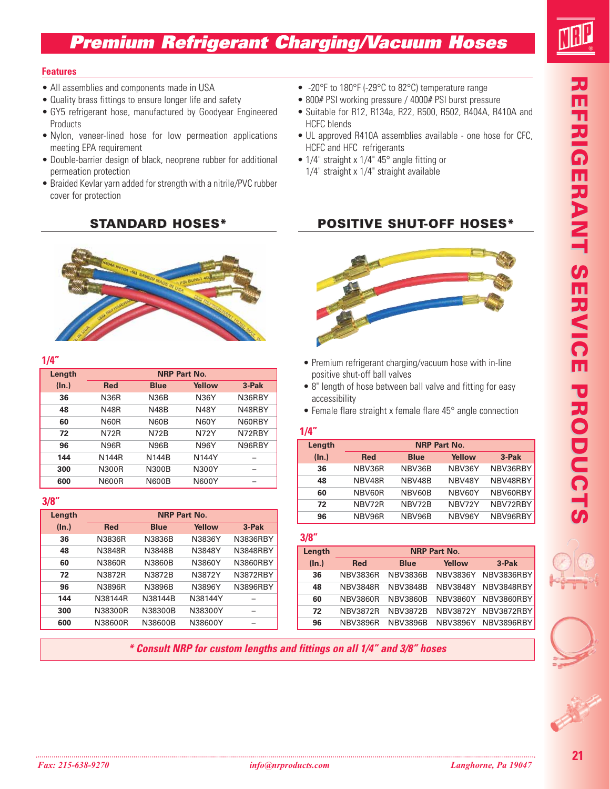# **Premium Refrigerant Charging/Vacuum Hoses**



#### **Features**

- All assemblies and components made in USA
- Quality brass fittings to ensure longer life and safety
- GY5 refrigerant hose, manufactured by Goodyear Engineered Products
- Nylon, veneer-lined hose for low permeation applications meeting EPA requirement
- Double-barrier design of black, neoprene rubber for additional permeation protection
- Braided Kevlar yarn added for strength with a nitrile/PVC rubber cover for protection

#### **STANDARD HOSES\***



#### **1/4"**

| Length | <b>NRP Part No.</b> |              |              |        |  |
|--------|---------------------|--------------|--------------|--------|--|
| (ln.)  | <b>Red</b>          | <b>Blue</b>  | Yellow       | 3-Pak  |  |
| 36     | <b>N36R</b>         | <b>N36B</b>  | <b>N36Y</b>  | N36RBY |  |
| 48     | <b>N48R</b>         | <b>N48B</b>  | <b>N48Y</b>  | N48RBY |  |
| 60     | <b>N60R</b>         | <b>N60B</b>  | <b>N60Y</b>  | N60RBY |  |
| 72     | <b>N72R</b>         | <b>N72B</b>  | <b>N72Y</b>  | N72RBY |  |
| 96     | <b>N96R</b>         | <b>N96B</b>  | <b>N96Y</b>  | N96RBY |  |
| 144    | N144R               | N144R        | N144Y        | -      |  |
| 300    | N300R               | <b>N300B</b> | N300Y        |        |  |
| 600    | <b>N600R</b>        | <b>N600B</b> | <b>N600Y</b> |        |  |

#### **3/8"**

| Length | <b>NRP Part No.</b> |             |         |                 |  |
|--------|---------------------|-------------|---------|-----------------|--|
| (In.)  | <b>Red</b>          | <b>Blue</b> | Yellow  | 3-Pak           |  |
| 36     | N3836R              | N3836B      | N3836Y  | N3836RBY        |  |
| 48     | N3848R              | N3848B      | N3848Y  | <b>N3848RBY</b> |  |
| 60     | N3860R              | N3860B      | N3860Y  | N3860RBY        |  |
| 72     | N3872R              | N3872B      | N3872Y  | N3872RBY        |  |
| 96     | N3896R              | N3896B      | N3896Y  | N3896RBY        |  |
| 144    | N38144R             | N38144B     | N38144Y |                 |  |
| 300    | N38300R             | N38300B     | N38300Y |                 |  |
| 600    | N38600R             | N38600B     | N38600Y |                 |  |

- -20°F to 180°F (-29°C to 82°C) temperature range
- 800# PSI working pressure / 4000# PSI burst pressure
- Suitable for R12, R134a, R22, R500, R502, R404A, R410A and HCFC blends
- UL approved R410A assemblies available one hose for CFC, HCFC and HFC refrigerants
- 1/4" straight x 1/4" 45° angle fitting or • 1/4" straight x 1/4" straight available

## **POSITIVE SHUT-OFF HOSES\***



- Premium refrigerant charging/vacuum hose with in-line positive shut-off ball valves
- 8" length of hose between ball valve and fitting for easy accessibility
- Female flare straight x female flare 45° angle connection

#### **1/4"**

| Length | <b>NRP Part No.</b> |             |        |          |  |
|--------|---------------------|-------------|--------|----------|--|
| (ln.)  | <b>Red</b>          | <b>Blue</b> | Yellow | 3-Pak    |  |
| 36     | NBV36R              | NBV36B      | NBV36Y | NBV36RBY |  |
| 48     | NBV48R              | NBV48B      | NBV48Y | NBV48RBY |  |
| 60     | NBV60R              | NBV60B      | NBV60Y | NBV60RBY |  |
| 72     | NBV72R              | NBV72B      | NBV72Y | NBV72RBY |  |
| 96     | NBV96R              | NBV96B      | NBV96Y | NBV96RBY |  |

| $\sim$<br>$\sim$ |
|------------------|
|------------------|

| Length | <b>NRP Part No.</b> |                 |                 |            |  |
|--------|---------------------|-----------------|-----------------|------------|--|
| (ln.)  | <b>Red</b>          | <b>Blue</b>     | Yellow          | $3-PAk$    |  |
| 36     | <b>NBV3836R</b>     | <b>NBV3836B</b> | <b>NBV3836Y</b> | NBV3836RBY |  |
| 48     | <b>NBV3848R</b>     | <b>NBV3848B</b> | <b>NBV3848Y</b> | NBV3848RBY |  |
| 60     | <b>NBV3860R</b>     | <b>NBV3860B</b> | <b>NBV3860Y</b> | NBV3860RBY |  |
| 72     | <b>NBV3872R</b>     | <b>NBV3872B</b> | <b>NBV3872Y</b> | NBV3872RBY |  |
| 96     | <b>NBV3896R</b>     | <b>NBV3896B</b> | <b>NBV3896Y</b> | NBV3896RBY |  |

**\* Consult NRP for custom lengths and fittings on all 1/4" and 3/8" hoses**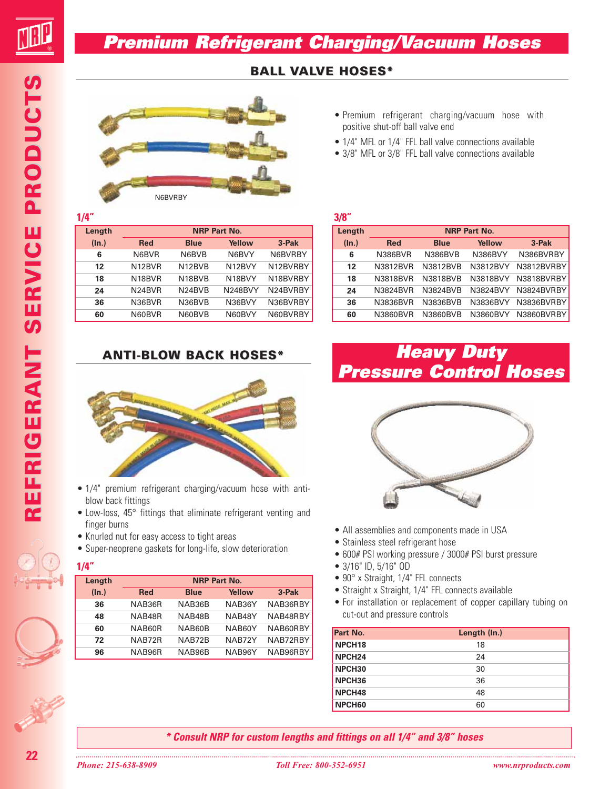# **Premium Refrigerant Charging/Vacuum Hoses**

## **BALL VALVE HOSES\***



#### **1/4"**

| Length | <b>NRP Part No.</b> |                                 |               |          |  |
|--------|---------------------|---------------------------------|---------------|----------|--|
| (ln.)  | <b>Red</b>          | <b>Blue</b>                     | <b>Yellow</b> | 3-Pak    |  |
| 6      | N6BVR               | N6BVB                           | N6BVY         | N6BVRBY  |  |
| 12     | N12BVR              | N12BVB                          | N12BVY        | N12BVRBY |  |
| 18     | N <sub>18</sub> BVR | N <sub>18</sub> BV <sub>B</sub> | N18BVY        | N18BVRBY |  |
| 24     | N24BVR              | N24BVB                          | N248BVY       | N24BVRBY |  |
| 36     | N36BVR              | N36BVB                          | N36BVY        | N36BVRBY |  |
| 60     | N60BVR              | N60BVB                          | N60BVY        | N60BVRBY |  |

### **ANTI-BLOW BACK HOSES\***



- 1/4" premium refrigerant charging/vacuum hose with antiblow back fittings
- Low-loss, 45° fittings that eliminate refrigerant venting and finger burns
- Knurled nut for easy access to tight areas
- Super-neoprene gaskets for long-life, slow deterioration

#### **1/4"**

| Length | <b>NRP Part No.</b> |             |        |          |
|--------|---------------------|-------------|--------|----------|
| (ln.)  | <b>Red</b>          | <b>Blue</b> | Yellow | 3-Pak    |
| 36     | NAB36R              | NAB36B      | NAB36Y | NAB36RBY |
| 48     | NAB48R              | NAB48B      | NAB48Y | NAB48RBY |
| 60     | NAB60R              | NAB60B      | NAB60Y | NAB60RBY |
| 72     | NAB72R              | NAB72B      | NAB72Y | NAB72RBY |
| 96     | NAB96R              | NAB96B      | NAB96Y | NAB96RBY |

- Premium refrigerant charging/vacuum hose with positive shut-off ball valve end
- 1/4" MFL or 1/4" FFL ball valve connections available
- 3/8" MFL or 3/8" FFL ball valve connections available

#### **3/8"**

| Length            |                 | <b>NRP Part No.</b> |                |            |  |  |
|-------------------|-----------------|---------------------|----------------|------------|--|--|
| $(\ln.)$          | <b>Red</b>      | <b>Blue</b>         | <b>Yellow</b>  | 3-Pak      |  |  |
| 6                 | <b>N386BVR</b>  | <b>N386BVB</b>      | <b>N386BVY</b> | N386BVRBY  |  |  |
| $12 \overline{ }$ | <b>N3812BVR</b> | N3812BVB            | N3812BVY       | N3812BVRBY |  |  |
| 18                | N3818BVR        | N3818BVB            | N3818BVY       | N3818BVRBY |  |  |
| 24                | <b>N3824BVR</b> | <b>N3824BVB</b>     | N3824BVY       | N3824BVRBY |  |  |
| 36                | N3836BVR        | N3836BVB            | N3836BVY       | N3836BVRBY |  |  |
| 60                | N3860BVR        | N3860BVB            | N3860BVY       | N3860BVRBY |  |  |

# **Heavy Duty Pressure Control Hoses**



- All assemblies and components made in USA
- Stainless steel refrigerant hose
- 600# PSI working pressure / 3000# PSI burst pressure
- 3/16" ID, 5/16" OD
- 90° x Straight, 1/4" FFL connects
- Straight x Straight, 1/4" FFL connects available
- For installation or replacement of copper capillary tubing on cut-out and pressure controls

| Part No.           | Length (In.) |
|--------------------|--------------|
| NPCH <sub>18</sub> | 18           |
| NPCH <sub>24</sub> | 24           |
| NPCH <sub>30</sub> | 30           |
| NPCH <sub>36</sub> | 36           |
| NPCH <sub>48</sub> | 48           |
| NPCH60             | 60           |

**\* Consult NRP for custom lengths and fittings on all 1/4" and 3/8" hoses**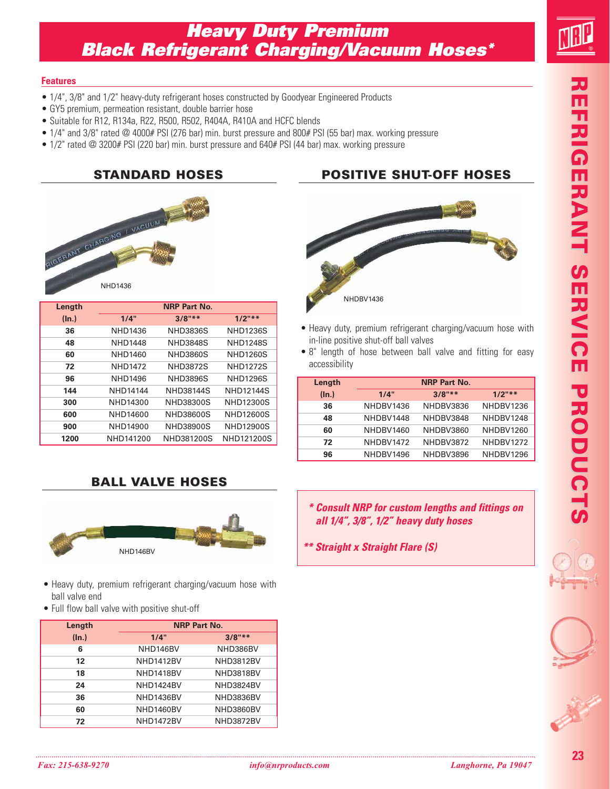# **Heavy Duty Premium Black Refrigerant Charging/Vacuum Hoses\***

#### **Features**

- 1/4", 3/8" and 1/2" heavy-duty refrigerant hoses constructed by Goodyear Engineered Products
- GY5 premium, permeation resistant, double barrier hose
- Suitable for R12, R134a, R22, R500, R502, R404A, R410A and HCFC blends
- 1/4" and 3/8" rated @ 4000# PSI (276 bar) min. burst pressure and 800# PSI (55 bar) max. working pressure
- 1/2" rated @ 3200# PSI (220 bar) min. burst pressure and 640# PSI (44 bar) max. working pressure



| Length |                 | <b>NRP Part No.</b> |                  |
|--------|-----------------|---------------------|------------------|
| (ln.)  | 1/4"            | $3/8"$ **           | $1/2$ "**        |
| 36     | NHD1436         | <b>NHD3836S</b>     | <b>NHD1236S</b>  |
| 48     | <b>NHD1448</b>  | <b>NHD3848S</b>     | <b>NHD1248S</b>  |
| 60     | NHD1460         | <b>NHD3860S</b>     | <b>NHD1260S</b>  |
| 72     | <b>NHD1472</b>  | <b>NHD3872S</b>     | <b>NHD1272S</b>  |
| 96     | NHD1496         | <b>NHD3896S</b>     | <b>NHD1296S</b>  |
| 144    | <b>NHD14144</b> | <b>NHD38144S</b>    | <b>NHD12144S</b> |
| 300    | NHD14300        | NHD38300S           | <b>NHD12300S</b> |
| 600    | NHD14600        | NHD38600S           | <b>NHD12600S</b> |
| 900    | NHD14900        | NHD38900S           | <b>NHD12900S</b> |
| 1200   | NHD141200       | NHD381200S          | NHD121200S       |

### **BALL VALVE HOSES**



- Heavy duty, premium refrigerant charging/vacuum hose with ball valve end
- Full flow ball valve with positive shut-off

| Length   | <b>NRP Part No.</b> |                  |  |
|----------|---------------------|------------------|--|
| $(\ln.)$ | 1/4"                | $3/8"$ **        |  |
| 6        | NHD146BV            | NHD386BV         |  |
| 12       | <b>NHD1412BV</b>    | <b>NHD3812BV</b> |  |
| 18       | NHD1418BV           | NHD3818BV        |  |
| 24       | NHD1424BV           | NHD3824BV        |  |
| 36       | NHD1436BV           | NHD3836BV        |  |
| 60       | NHD1460BV           | NHD3860BV        |  |
| 72       | <b>NHD1472BV</b>    | <b>NHD3872BV</b> |  |

### **STANDARD HOSES POSITIVE SHUT-OFF HOSES**



- Heavy duty, premium refrigerant charging/vacuum hose with in-line positive shut-off ball valves
- 8" length of hose between ball valve and fitting for easy accessibility

| Length |           | <b>NRP Part No.</b> |           |
|--------|-----------|---------------------|-----------|
| (ln.)  | 1/4"      | $3/8"$ **           | $1/2$ "** |
| 36     | NHDBV1436 | NHDBV3836           | NHDBV1236 |
| 48     | NHDBV1448 | NHDBV3848           | NHDBV1248 |
| 60     | NHDBV1460 | NHDBV3860           | NHDBV1260 |
| 72     | NHDBV1472 | NHDBV3872           | NHDBV1272 |
| 96     | NHDBV1496 | NHDBV3896           | NHDBV1296 |

- **\* Consult NRP for custom lengths and fittings on all 1/4", 3/8", 1/2" heavy duty hoses**
- **\*\* Straight x Straight Flare (S)**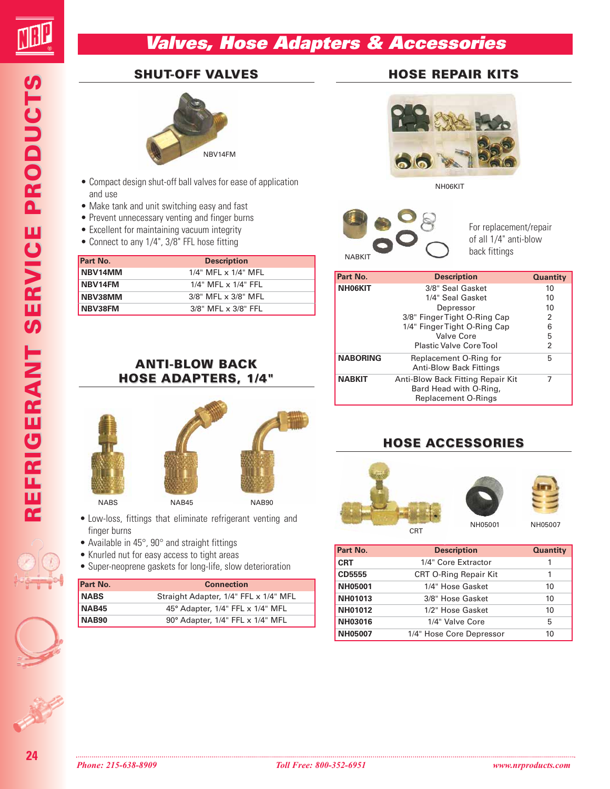# **Valves, Hose Adapters & Accessories**

#### **SHUT-OFF VALVES**



- Compact design shut-off ball valves for ease of application and use
- Make tank and unit switching easy and fast
- Prevent unnecessary venting and finger burns
- Excellent for maintaining vacuum integrity
- Connect to any 1/4", 3/8" FFL hose fitting

| Part No. | <b>Description</b>               |
|----------|----------------------------------|
| NBV14MM  | $1/4$ " MFL $\times$ $1/4$ " MFL |
| NBV14FM  | $1/4$ " MFL $\times$ $1/4$ " FFL |
| NBV38MM  | 3/8" MFL x 3/8" MFL              |
| NBV38FM  | 3/8" MFL x 3/8" FFL              |





- Low-loss, fittings that eliminate refrigerant venting and finger burns
- Available in 45°, 90° and straight fittings
- Knurled nut for easy access to tight areas
- Super-neoprene gaskets for long-life, slow deterioration

| Part No.     | <b>Connection</b>                     |
|--------------|---------------------------------------|
| <b>NABS</b>  | Straight Adapter, 1/4" FFL x 1/4" MFL |
| <b>NAB45</b> | 45° Adapter, 1/4" FFL x 1/4" MFL      |
| NAB90        | 90° Adapter, 1/4" FFL x 1/4" MFL      |

## **HOSE REPAIR KITS**



NH06KIT

NABKIT

For replacement/repair of all 1/4" anti-blow back fittings

| Part No.        | <b>Description</b>                |    |
|-----------------|-----------------------------------|----|
| NH06KIT         | 3/8" Seal Gasket                  | 10 |
|                 | 1/4" Seal Gasket                  | 10 |
|                 | Depressor                         | 10 |
|                 | 3/8" Finger Tight O-Ring Cap      | 2  |
|                 | 1/4" Finger Tight O-Ring Cap      | 6  |
|                 | Valve Core                        | 5  |
|                 | <b>Plastic Valve Core Tool</b>    | 2  |
| <b>NABORING</b> | Replacement O-Ring for            | 5  |
|                 | <b>Anti-Blow Back Fittings</b>    |    |
| <b>NABKIT</b>   | Anti-Blow Back Fitting Repair Kit | 7  |
|                 | Bard Head with O-Ring,            |    |
|                 | <b>Replacement O-Rings</b>        |    |

### **HOSE ACCESSORIES**



| Part No.       | <b>Description</b>           | <b>Quantity</b> |  |  |
|----------------|------------------------------|-----------------|--|--|
| <b>CRT</b>     | 1/4" Core Extractor          | 1               |  |  |
| CD5555         | <b>CRT O-Ring Repair Kit</b> |                 |  |  |
| NH05001        | 1/4" Hose Gasket             | 10              |  |  |
| NH01013        | 3/8" Hose Gasket             | 10              |  |  |
| NH01012        | 1/2" Hose Gasket             | 10              |  |  |
| <b>NH03016</b> | 1/4" Valve Core              | 5               |  |  |
| <b>NH05007</b> | 1/4" Hose Core Depressor     | 10              |  |  |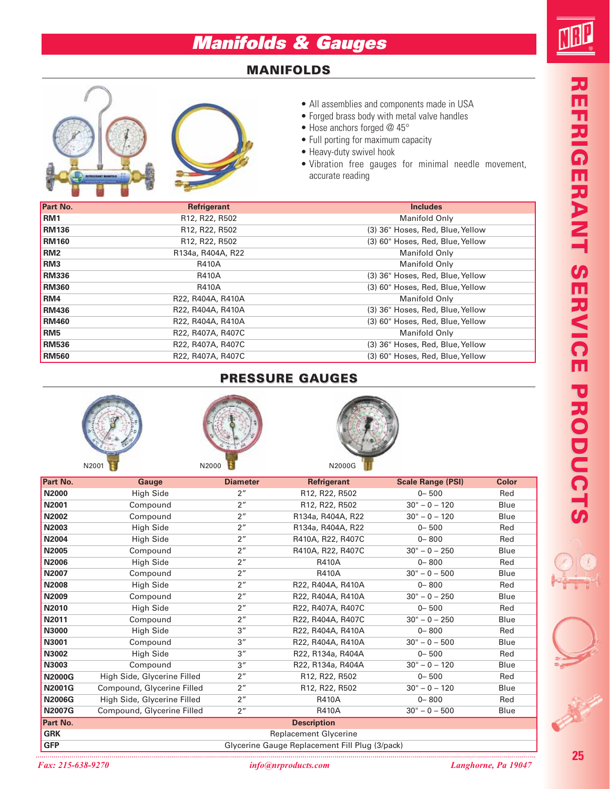# **Manifolds & Gauges**

## **MANIFOLDS**



- All assemblies and components made in USA
- Forged brass body with metal valve handles
- Hose anchors forged @ 45°
- Full porting for maximum capacity
- Heavy-duty swivel hook
- Vibration free gauges for minimal needle movement, accurate reading

| Part No.        | Refrigerant                                          | <b>Includes</b>                  |
|-----------------|------------------------------------------------------|----------------------------------|
| RM <sub>1</sub> | R <sub>12</sub> , R <sub>22</sub> , R <sub>502</sub> | Manifold Only                    |
| <b>RM136</b>    | R <sub>12</sub> , R <sub>22</sub> , R <sub>502</sub> | (3) 36" Hoses, Red, Blue, Yellow |
| <b>RM160</b>    | R <sub>12</sub> , R <sub>22</sub> , R <sub>502</sub> | (3) 60" Hoses, Red, Blue, Yellow |
| RM <sub>2</sub> | R134a, R404A, R22                                    | <b>Manifold Only</b>             |
| RM <sub>3</sub> | <b>R410A</b>                                         | <b>Manifold Only</b>             |
| <b>RM336</b>    | <b>R410A</b>                                         | (3) 36" Hoses, Red, Blue, Yellow |
| <b>RM360</b>    | <b>R410A</b>                                         | (3) 60" Hoses, Red, Blue, Yellow |
| RM4             | R22, R404A, R410A                                    | <b>Manifold Only</b>             |
| <b>RM436</b>    | R22, R404A, R410A                                    | (3) 36" Hoses, Red, Blue, Yellow |
| <b>RM460</b>    | R22, R404A, R410A                                    | (3) 60" Hoses, Red, Blue, Yellow |
| RM <sub>5</sub> | R22, R407A, R407C                                    | <b>Manifold Only</b>             |
| <b>RM536</b>    | R22, R407A, R407C                                    | (3) 36" Hoses, Red, Blue, Yellow |
| <b>RM560</b>    | R22, R407A, R407C                                    | (3) 60" Hoses, Red, Blue, Yellow |

### **PRESSURE GAUGES**



| Part No.      | Gauge                       | <b>Diameter</b> | Refrigerant                                    | <b>Scale Range (PSI)</b> | <b>Color</b> |
|---------------|-----------------------------|-----------------|------------------------------------------------|--------------------------|--------------|
| <b>N2000</b>  | <b>High Side</b>            | 2 <sup>''</sup> | R12, R22, R502                                 | $0 - 500$                | Red          |
| N2001         | Compound                    | 2 <sup>''</sup> | R12, R22, R502                                 | $30" - 0 - 120$          | Blue         |
| <b>N2002</b>  | Compound                    | 2 <sup>''</sup> | R134a, R404A, R22                              | $30" - 0 - 120$          | Blue         |
| N2003         | <b>High Side</b>            | 2 <sup>''</sup> | R134a, R404A, R22                              | $0 - 500$                | Red          |
| <b>N2004</b>  | <b>High Side</b>            | 2 <sup>''</sup> | R410A, R22, R407C                              | $0 - 800$                | Red          |
| <b>N2005</b>  | Compound                    | 2 <sup>''</sup> | R410A, R22, R407C                              | $30" - 0 - 250$          | Blue         |
| <b>N2006</b>  | <b>High Side</b>            | 2 <sup>''</sup> | <b>R410A</b>                                   | $0 - 800$                | Red          |
| N2007         | Compound                    | 2 <sup>''</sup> | <b>R410A</b>                                   | $30" - 0 - 500$          | Blue         |
| <b>N2008</b>  | <b>High Side</b>            | 2 <sup>''</sup> | R22, R404A, R410A                              | $0 - 800$                | Red          |
| N2009         | Compound                    | 2 <sup>''</sup> | R22, R404A, R410A                              | $30" - 0 - 250$          | Blue         |
| N2010         | <b>High Side</b>            | 2 <sup>''</sup> | R22, R407A, R407C                              | $0 - 500$                | Red          |
| N2011         | Compound                    | 2 <sup>''</sup> | R22, R404A, R407C                              | $30" - 0 - 250$          | Blue         |
| N3000         | <b>High Side</b>            | 3''             | R22, R404A, R410A                              | $0 - 800$                | Red          |
| N3001         | Compound                    | 3''             | R22, R404A, R410A                              | $30" - 0 - 500$          | Blue         |
| N3002         | <b>High Side</b>            | 3 <sup>''</sup> | R22, R134a, R404A                              | $0 - 500$                | Red          |
| N3003         | Compound                    | 3''             | R22, R134a, R404A                              | $30" - 0 - 120$          | Blue         |
| <b>N2000G</b> | High Side, Glycerine Filled | 2 <sup>n</sup>  | R12, R22, R502                                 | $0 - 500$                | Red          |
| <b>N2001G</b> | Compound, Glycerine Filled  | 2 <sup>''</sup> | R12, R22, R502                                 | $30" - 0 - 120$          | Blue         |
| <b>N2006G</b> | High Side, Glycerine Filled | 2 <sup>''</sup> | <b>R410A</b>                                   | $0 - 800$                | Red          |
| <b>N2007G</b> | Compound, Glycerine Filled  | 2 <sup>n</sup>  | <b>R410A</b>                                   | $30" - 0 - 500$          | Blue         |
| Part No.      |                             |                 | <b>Description</b>                             |                          |              |
| <b>GRK</b>    |                             |                 | <b>Replacement Glycerine</b>                   |                          |              |
| <b>GFP</b>    |                             |                 | Glycerine Gauge Replacement Fill Plug (3/pack) |                          |              |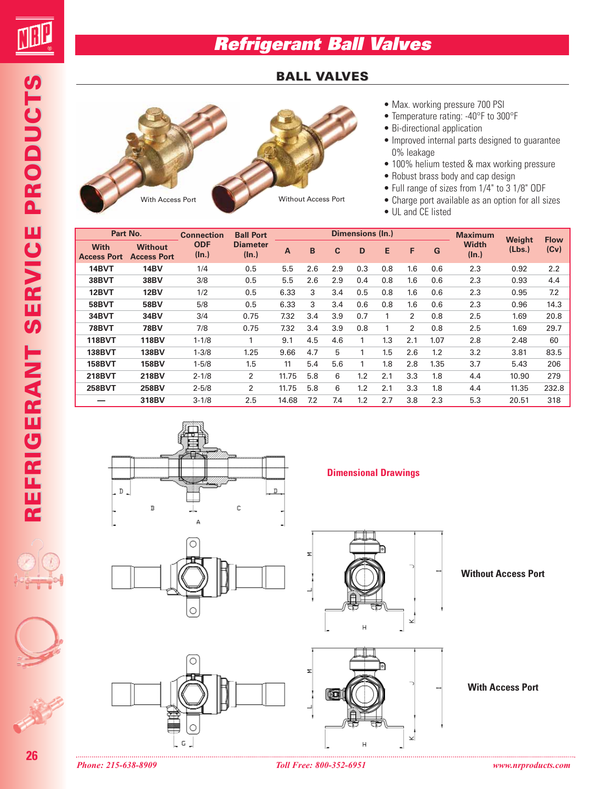

**REFRIGERANT SERVICE PRODU REFRIGERANT SERVICE PRODUCTS**

REFRIGERANT SERVICE PRODUCTS

# **Refrigerant Ball Valves**

#### **BALL VALVES**



| Part No.                          |                                      | <b>Connection</b>      | <b>Ball Port</b>         |       |     |     | <b>Dimensions (In.)</b> |     |     |      | <b>Maximum</b>        | Weight | <b>Flow</b> |
|-----------------------------------|--------------------------------------|------------------------|--------------------------|-------|-----|-----|-------------------------|-----|-----|------|-----------------------|--------|-------------|
| <b>With</b><br><b>Access Port</b> | <b>Without</b><br><b>Access Port</b> | <b>ODF</b><br>$(\ln.)$ | <b>Diameter</b><br>(ln.) | A     | B   | C   | D                       | E   | F   | G    | <b>Width</b><br>(ln.) | (Lbs.) | (Cv)        |
| 14BVT                             | 14BV                                 | 1/4                    | 0.5                      | 5.5   | 2.6 | 2.9 | 0.3                     | 0.8 | 1.6 | 0.6  | 2.3                   | 0.92   | 2.2         |
| 38BVT                             | 38BV                                 | 3/8                    | 0.5                      | 5.5   | 2.6 | 2.9 | 0.4                     | 0.8 | 1.6 | 0.6  | 2.3                   | 0.93   | 4.4         |
| 12BVT                             | <b>12BV</b>                          | 1/2                    | 0.5                      | 6.33  | 3   | 3.4 | 0.5                     | 0.8 | 1.6 | 0.6  | 2.3                   | 0.95   | 7.2         |
| 58BVT                             | <b>58BV</b>                          | 5/8                    | 0.5                      | 6.33  | 3   | 3.4 | 0.6                     | 0.8 | 1.6 | 0.6  | 2.3                   | 0.96   | 14.3        |
| 34BVT                             | 34BV                                 | 3/4                    | 0.75                     | 7.32  | 3.4 | 3.9 | 0.7                     |     | 2   | 0.8  | 2.5                   | 1.69   | 20.8        |
| 78BVT                             | 78BV                                 | 7/8                    | 0.75                     | 7.32  | 3.4 | 3.9 | 0.8                     |     | 2   | 0.8  | 2.5                   | 1.69   | 29.7        |
| <b>118BVT</b>                     | <b>118BV</b>                         | $1 - 1/8$              | 1                        | 9.1   | 4.5 | 4.6 | 1                       | 1.3 | 2.1 | 1.07 | 2.8                   | 2.48   | 60          |
| <b>138BVT</b>                     | <b>138BV</b>                         | $1 - 3/8$              | 1.25                     | 9.66  | 4.7 | 5   | 1                       | 1.5 | 2.6 | 1.2  | 3.2                   | 3.81   | 83.5        |
| <b>158BVT</b>                     | <b>158BV</b>                         | $1 - 5/8$              | 1.5                      | 11    | 5.4 | 5.6 | 1                       | 1.8 | 2.8 | 1.35 | 3.7                   | 5.43   | 206         |
| <b>218BVT</b>                     | 218BV                                | $2 - 1/8$              | 2                        | 11.75 | 5.8 | 6   | 1.2                     | 2.1 | 3.3 | 1.8  | 4.4                   | 10.90  | 279         |
| <b>258BVT</b>                     | 258BV                                | $2 - 5/8$              | 2                        | 11.75 | 5.8 | 6   | 1.2                     | 2.1 | 3.3 | 1.8  | 4.4                   | 11.35  | 232.8       |
|                                   | 318BV                                | $3 - 1/8$              | 2.5                      | 14.68 | 7.2 | 7.4 | 1.2                     | 2.7 | 3.8 | 2.3  | 5.3                   | 20.51  | 318         |







**Dimensional Drawings**

× Ë

**Without Access Port**

 $\overline{\mathbf{x}}$ 

**With Access Port**

**26**

ाना

 $\mathbf{H}$